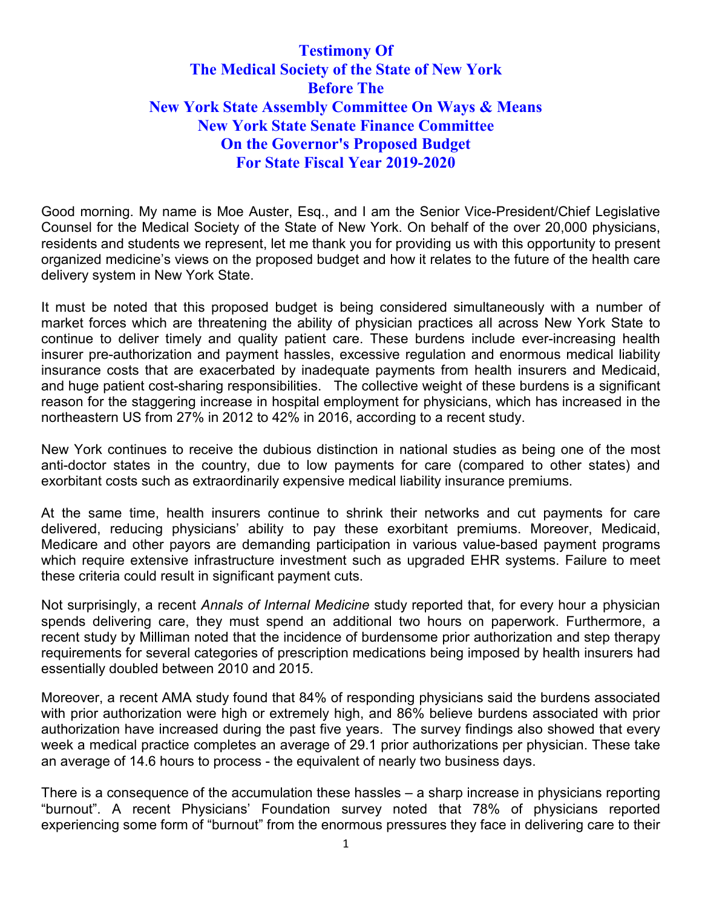# **Testimony Of The Medical Society of the State of New York Before The New York State Assembly Committee On Ways & Means New York State Senate Finance Committee On the Governor's Proposed Budget For State Fiscal Year 2019-2020**

Good morning. My name is Moe Auster, Esq., and I am the Senior Vice-President/Chief Legislative Counsel for the Medical Society of the State of New York. On behalf of the over 20,000 physicians, residents and students we represent, let me thank you for providing us with this opportunity to present organized medicine's views on the proposed budget and how it relates to the future of the health care delivery system in New York State.

It must be noted that this proposed budget is being considered simultaneously with a number of market forces which are threatening the ability of physician practices all across New York State to continue to deliver timely and quality patient care. These burdens include ever-increasing health insurer pre-authorization and payment hassles, excessive regulation and enormous medical liability insurance costs that are exacerbated by inadequate payments from health insurers and Medicaid, and huge patient cost-sharing responsibilities. The collective weight of these burdens is a significant reason for the staggering increase in hospital employment for physicians, which has increased in the northeastern US from 27% in 2012 to 42% in 2016, according to a recent study.

New York continues to receive the dubious distinction in national studies as being one of the most anti-doctor states in the country, due to low payments for care (compared to other states) and exorbitant costs such as extraordinarily expensive medical liability insurance premiums.

At the same time, health insurers continue to shrink their networks and cut payments for care delivered, reducing physicians' ability to pay these exorbitant premiums. Moreover, Medicaid, Medicare and other payors are demanding participation in various value-based payment programs which require extensive infrastructure investment such as upgraded EHR systems. Failure to meet these criteria could result in significant payment cuts.

Not surprisingly, a recent *Annals of Internal Medicine* study reported that, for every hour a physician spends delivering care, they must spend an additional two hours on paperwork. Furthermore, a recent study by Milliman noted that the incidence of burdensome prior authorization and step therapy requirements for several categories of prescription medications being imposed by health insurers had essentially doubled between 2010 and 2015.

Moreover, a recent AMA study found that 84% of responding physicians said the burdens associated with prior authorization were high or extremely high, and 86% believe burdens associated with prior authorization have increased during the past five years. The survey findings also showed that every week a medical practice completes an average of 29.1 prior authorizations per physician. These take an average of 14.6 hours to process - the equivalent of nearly two business days.

There is a consequence of the accumulation these hassles – a sharp increase in physicians reporting "burnout". A recent Physicians' Foundation survey noted that 78% of physicians reported experiencing some form of "burnout" from the enormous pressures they face in delivering care to their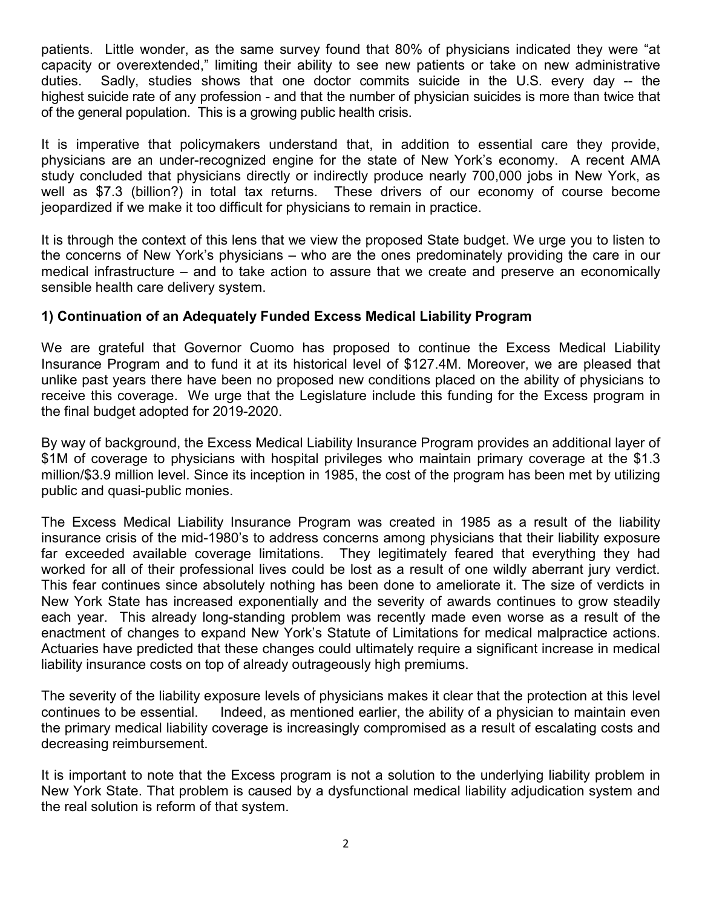patients. Little wonder, as the same survey found that 80% of physicians indicated they were "at capacity or overextended," limiting their ability to see new patients or take on new administrative duties. Sadly, studies shows that one doctor commits suicide in the U.S. every day -- the highest [suicide](https://www.webmd.com/mental-health/tc/suicidal-thoughts-or-threats-topic-overview) rate of any profession - and that the number of physician suicides is more than twice that of the general population. This is a growing public health crisis.

It is imperative that policymakers understand that, in addition to essential care they provide, physicians are an under-recognized engine for the state of New York's economy. A recent AMA study concluded that physicians directly or indirectly produce nearly 700,000 jobs in New York, as well as \$7.3 (billion?) in total tax returns. These drivers of our economy of course become jeopardized if we make it too difficult for physicians to remain in practice.

It is through the context of this lens that we view the proposed State budget. We urge you to listen to the concerns of New York's physicians – who are the ones predominately providing the care in our medical infrastructure – and to take action to assure that we create and preserve an economically sensible health care delivery system.

## **1) Continuation of an Adequately Funded Excess Medical Liability Program**

We are grateful that Governor Cuomo has proposed to continue the Excess Medical Liability Insurance Program and to fund it at its historical level of \$127.4M. Moreover, we are pleased that unlike past years there have been no proposed new conditions placed on the ability of physicians to receive this coverage. We urge that the Legislature include this funding for the Excess program in the final budget adopted for 2019-2020.

By way of background, the Excess Medical Liability Insurance Program provides an additional layer of \$1M of coverage to physicians with hospital privileges who maintain primary coverage at the \$1.3 million/\$3.9 million level. Since its inception in 1985, the cost of the program has been met by utilizing public and quasi-public monies.

The Excess Medical Liability Insurance Program was created in 1985 as a result of the liability insurance crisis of the mid-1980's to address concerns among physicians that their liability exposure far exceeded available coverage limitations. They legitimately feared that everything they had worked for all of their professional lives could be lost as a result of one wildly aberrant jury verdict. This fear continues since absolutely nothing has been done to ameliorate it. The size of verdicts in New York State has increased exponentially and the severity of awards continues to grow steadily each year. This already long-standing problem was recently made even worse as a result of the enactment of changes to expand New York's Statute of Limitations for medical malpractice actions. Actuaries have predicted that these changes could ultimately require a significant increase in medical liability insurance costs on top of already outrageously high premiums.

The severity of the liability exposure levels of physicians makes it clear that the protection at this level continues to be essential. Indeed, as mentioned earlier, the ability of a physician to maintain even the primary medical liability coverage is increasingly compromised as a result of escalating costs and decreasing reimbursement.

It is important to note that the Excess program is not a solution to the underlying liability problem in New York State. That problem is caused by a dysfunctional medical liability adjudication system and the real solution is reform of that system.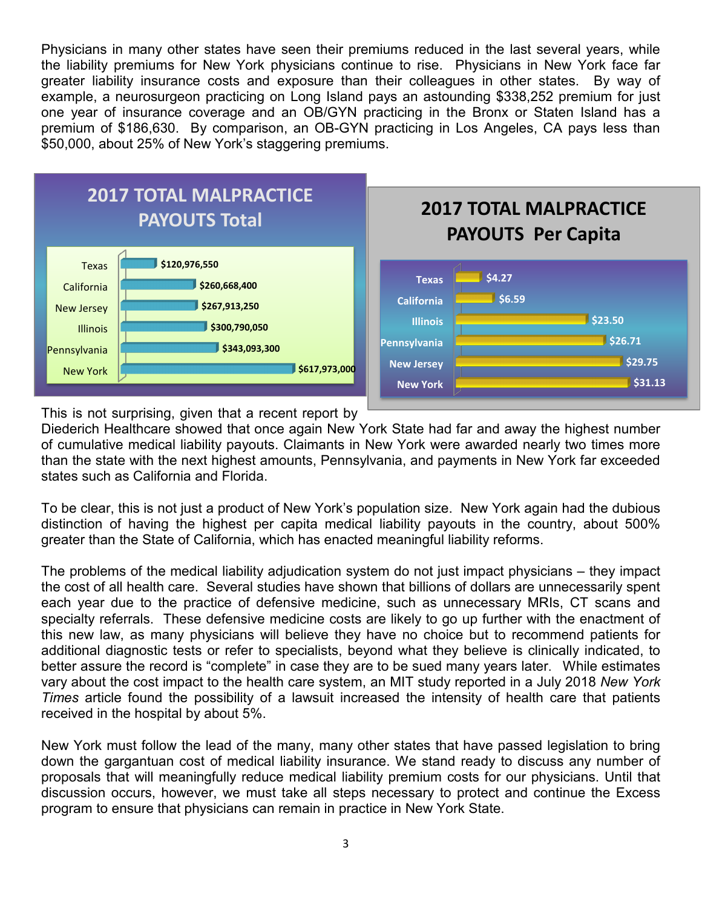Physicians in many other states have seen their premiums reduced in the last several years, while the liability premiums for New York physicians continue to rise. Physicians in New York face far greater liability insurance costs and exposure than their colleagues in other states. By way of example, a neurosurgeon practicing on Long Island pays an astounding \$338,252 premium for just one year of insurance coverage and an OB/GYN practicing in the Bronx or Staten Island has a premium of \$186,630. By comparison, an OB-GYN practicing in Los Angeles, CA pays less than \$50,000, about 25% of New York's staggering premiums.



This is not surprising, given that a recent report by

Diederich Healthcare showed that once again New York State had far and away the highest number of cumulative medical liability payouts. Claimants in New York were awarded nearly two times more than the state with the next highest amounts, Pennsylvania, and payments in New York far exceeded states such as California and Florida.

To be clear, this is not just a product of New York's population size. New York again had the dubious distinction of having the highest per capita medical liability payouts in the country, about 500% greater than the State of California, which has enacted meaningful liability reforms.

The problems of the medical liability adjudication system do not just impact physicians – they impact the cost of all health care. Several studies have shown that billions of dollars are unnecessarily spent each year due to the practice of defensive medicine, such as unnecessary MRIs, CT scans and specialty referrals. These defensive medicine costs are likely to go up further with the enactment of this new law, as many physicians will believe they have no choice but to recommend patients for additional diagnostic tests or refer to specialists, beyond what they believe is clinically indicated, to better assure the record is "complete" in case they are to be sued many years later. While estimates vary about the cost impact to the health care system, an MIT study reported in a July 2018 *New York Times* article found the possibility of a lawsuit increased the intensity of health care that patients received in the hospital by about 5%.

New York must follow the lead of the many, many other states that have passed legislation to bring down the gargantuan cost of medical liability insurance. We stand ready to discuss any number of proposals that will meaningfully reduce medical liability premium costs for our physicians. Until that discussion occurs, however, we must take all steps necessary to protect and continue the Excess program to ensure that physicians can remain in practice in New York State.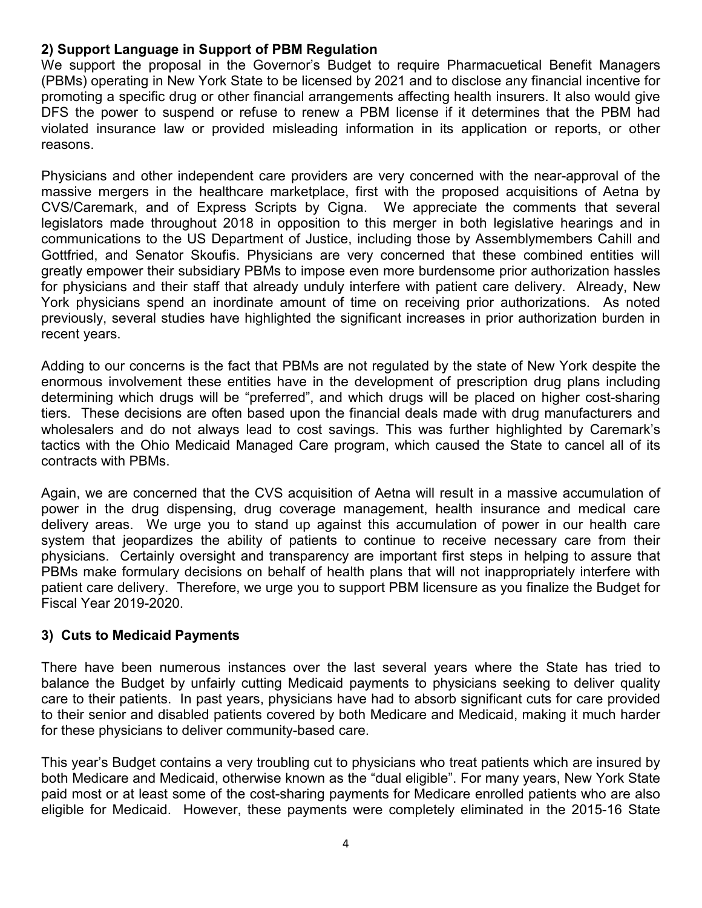## **2) Support Language in Support of PBM Regulation**

We support the proposal in the Governor's Budget to require Pharmacuetical Benefit Managers (PBMs) operating in New York State to be licensed by 2021 and to disclose any financial incentive for promoting a specific drug or other financial arrangements affecting health insurers. It also would give DFS the power to suspend or refuse to renew a PBM license if it determines that the PBM had violated insurance law or provided misleading information in its application or reports, or other reasons.

Physicians and other independent care providers are very concerned with the near-approval of the massive mergers in the healthcare marketplace, first with the proposed acquisitions of Aetna by CVS/Caremark, and of Express Scripts by Cigna. We appreciate the comments that several legislators made throughout 2018 in opposition to this merger in both legislative hearings and in communications to the US Department of Justice, including those by Assemblymembers Cahill and Gottfried, and Senator Skoufis. Physicians are very concerned that these combined entities will greatly empower their subsidiary PBMs to impose even more burdensome prior authorization hassles for physicians and their staff that already unduly interfere with patient care delivery. Already, New York physicians spend an inordinate amount of time on receiving prior authorizations. As noted previously, several studies have highlighted the significant increases in prior authorization burden in recent years.

Adding to our concerns is the fact that PBMs are not regulated by the state of New York despite the enormous involvement these entities have in the development of prescription drug plans including determining which drugs will be "preferred", and which drugs will be placed on higher cost-sharing tiers. These decisions are often based upon the financial deals made with drug manufacturers and wholesalers and do not always lead to cost savings. This was further highlighted by Caremark's tactics with the Ohio Medicaid Managed Care program, which caused the State to cancel all of its contracts with PBMs.

Again, we are concerned that the CVS acquisition of Aetna will result in a massive accumulation of power in the drug dispensing, drug coverage management, health insurance and medical care delivery areas. We urge you to stand up against this accumulation of power in our health care system that jeopardizes the ability of patients to continue to receive necessary care from their physicians. Certainly oversight and transparency are important first steps in helping to assure that PBMs make formulary decisions on behalf of health plans that will not inappropriately interfere with patient care delivery. Therefore, we urge you to support PBM licensure as you finalize the Budget for Fiscal Year 2019-2020.

### **3) Cuts to Medicaid Payments**

There have been numerous instances over the last several years where the State has tried to balance the Budget by unfairly cutting Medicaid payments to physicians seeking to deliver quality care to their patients. In past years, physicians have had to absorb significant cuts for care provided to their senior and disabled patients covered by both Medicare and Medicaid, making it much harder for these physicians to deliver community-based care.

This year's Budget contains a very troubling cut to physicians who treat patients which are insured by both Medicare and Medicaid, otherwise known as the "dual eligible". For many years, New York State paid most or at least some of the cost-sharing payments for Medicare enrolled patients who are also eligible for Medicaid. However, these payments were completely eliminated in the 2015-16 State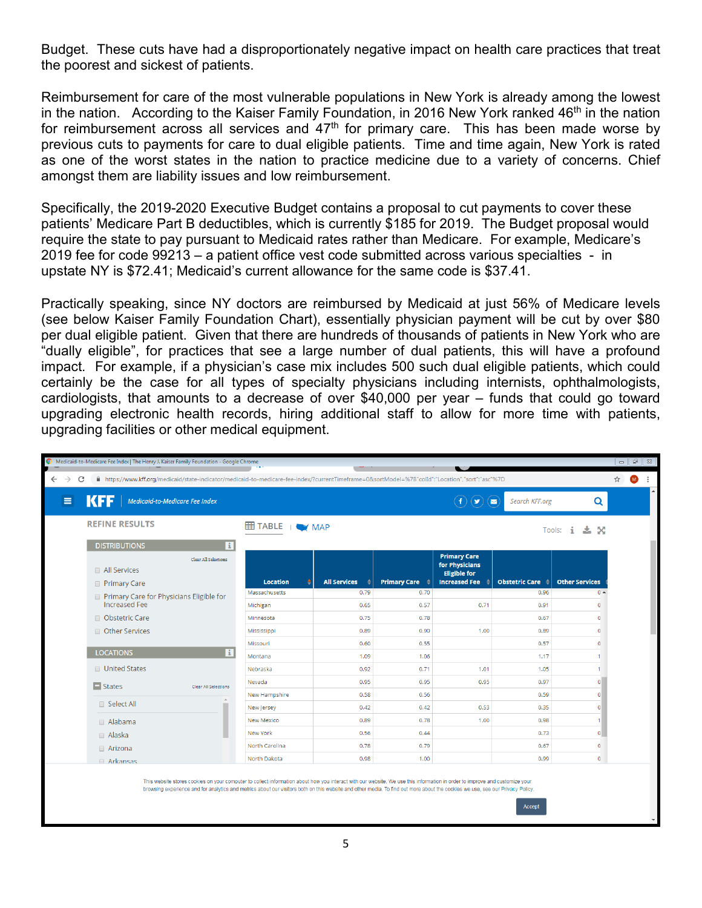Budget. These cuts have had a disproportionately negative impact on health care practices that treat the poorest and sickest of patients.

Reimbursement for care of the most vulnerable populations in New York is already among the lowest in the nation. According to the Kaiser Family Foundation, in 2016 New York ranked  $46<sup>th</sup>$  in the nation for reimbursement across all services and  $47<sup>th</sup>$  for primary care. This has been made worse by previous cuts to payments for care to dual eligible patients. Time and time again, New York is rated as one of the worst states in the nation to practice medicine due to a variety of concerns. Chief amongst them are liability issues and low reimbursement.

Specifically, the 2019-2020 Executive Budget contains a proposal to cut payments to cover these patients' Medicare Part B deductibles, which is currently \$185 for 2019. The Budget proposal would require the state to pay pursuant to Medicaid rates rather than Medicare. For example, Medicare's 2019 fee for code 99213 – a patient office vest code submitted across various specialties - in upstate NY is \$72.41; Medicaid's current allowance for the same code is \$37.41.

Practically speaking, since NY doctors are reimbursed by Medicaid at just 56% of Medicare levels (see below Kaiser Family Foundation Chart), essentially physician payment will be cut by over \$80 per dual eligible patient. Given that there are hundreds of thousands of patients in New York who are "dually eligible", for practices that see a large number of dual patients, this will have a profound impact. For example, if a physician's case mix includes 500 such dual eligible patients, which could certainly be the case for all types of specialty physicians including internists, ophthalmologists, cardiologists, that amounts to a decrease of over \$40,000 per year – funds that could go toward upgrading electronic health records, hiring additional staff to allow for more time with patients, upgrading facilities or other medical equipment.

| Medicaid-to-Medicare Fee Index   The Henry J. Kaiser Family Foundation - Google Chrome                                                                                  |                       |                     |                                       |                                                                                      |                                  |                             | $  -$  |
|-------------------------------------------------------------------------------------------------------------------------------------------------------------------------|-----------------------|---------------------|---------------------------------------|--------------------------------------------------------------------------------------|----------------------------------|-----------------------------|--------|
| A https://www.kff.org/medicaid/state-indicator/medicaid-to-medicare-fee-index/?currentTimeframe=0&sortModel=%7B"colId":"Location","sort":"asc"%7D<br>$\rightarrow$<br>C |                       |                     |                                       |                                                                                      |                                  |                             | ☆<br>▥ |
| КББ<br>$\equiv$<br>Medicaid-to-Medicare Fee Index                                                                                                                       |                       |                     |                                       | $\left( \mathbf{v}\right)$                                                           | $\blacksquare$<br>Search KFF.org | Q                           |        |
| <b>REFINE RESULTS</b>                                                                                                                                                   | <b>EE TABLE</b>   WAP |                     |                                       |                                                                                      |                                  | $Tools:$ $\mathbf{i}$<br>太父 |        |
| <b>DISTRIBUTIONS</b><br>Πi                                                                                                                                              |                       |                     |                                       |                                                                                      |                                  |                             |        |
| Clear All Selections<br>All Services<br><b>Primary Care</b>                                                                                                             | <b>Location</b>       | <b>All Services</b> | <b>Primary Care <math>\div</math></b> | <b>Primary Care</b><br>for Physicians<br><b>Eligible for</b><br><b>Increased Fee</b> | Obstetric Care $\div$            | <b>Other Services</b>       |        |
| Primary Care for Physicians Eligible for                                                                                                                                | Massachusetts         | 0.79                | 0.70                                  |                                                                                      | 0.96                             | $0 -$                       |        |
| <b>Increased Fee</b>                                                                                                                                                    | Michigan              | 0.65                | 0.57                                  | 0.71                                                                                 | 0.91                             | $\circ$                     |        |
| <b>Obstetric Care</b>                                                                                                                                                   | Minnesota             | 0.75                | 0.78                                  |                                                                                      | 0.67                             | $\mathbf{0}$                |        |
| Other Services                                                                                                                                                          | Mississippi           | 0.89                | 0.90                                  | 1.00                                                                                 | 0.89                             | $\mathbf{0}$                |        |
|                                                                                                                                                                         | Missouri              | 0.60                | 0.55                                  |                                                                                      | 0.57                             | $\mathbf{0}$                |        |
| <b>LOCATIONS</b><br>i                                                                                                                                                   | Montana               | 1.09                | 1.06                                  |                                                                                      | 1.17                             |                             |        |
| <b>United States</b>                                                                                                                                                    | Nebraska              | 0.92                | 0.71                                  | 1.01                                                                                 | 1.05                             |                             |        |
| $\blacksquare$ States<br>Clear All Selections                                                                                                                           | Nevada                | 0.95                | 0.95                                  | 0.95                                                                                 | 0.97                             | $\overline{0}$              |        |
|                                                                                                                                                                         | New Hampshire         | 0.58                | 0.56                                  |                                                                                      | 0.59                             | $\Omega$                    |        |
| □ Select All                                                                                                                                                            | New Jersey            | 0.42                | 0.42                                  | 0.53                                                                                 | 0.35                             | $\Omega$                    |        |
| Alabama                                                                                                                                                                 | <b>New Mexico</b>     | 0.89                | 0.78                                  | 1.00                                                                                 | 0.98                             |                             |        |
| □ Alaska                                                                                                                                                                | <b>New York</b>       | 0.56                | 0.44                                  |                                                                                      | 0.73                             | $\mathbf{0}$                |        |
| □ Arizona                                                                                                                                                               | North Carolina        | 0.78                | 0.79                                  |                                                                                      | 0.67                             | $\circ$                     |        |
| Arkansas                                                                                                                                                                | North Dakota          | 0.98                | 1.00                                  |                                                                                      | 0.99                             | $\circ$                     |        |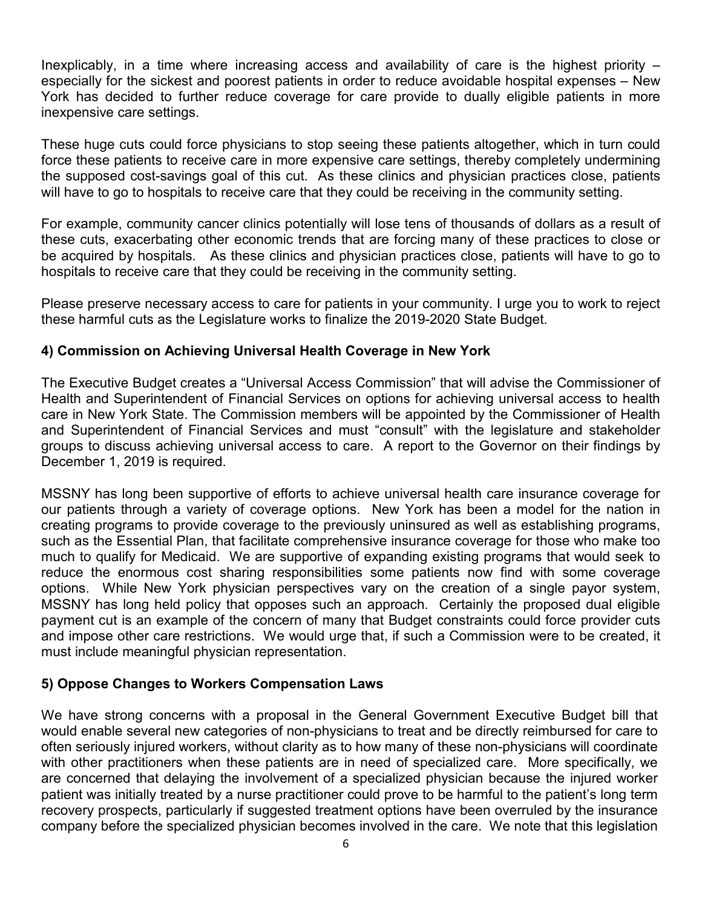Inexplicably, in a time where increasing access and availability of care is the highest priority – especially for the sickest and poorest patients in order to reduce avoidable hospital expenses – New York has decided to further reduce coverage for care provide to dually eligible patients in more inexpensive care settings.

These huge cuts could force physicians to stop seeing these patients altogether, which in turn could force these patients to receive care in more expensive care settings, thereby completely undermining the supposed cost-savings goal of this cut. As these clinics and physician practices close, patients will have to go to hospitals to receive care that they could be receiving in the community setting.

For example, community cancer clinics potentially will lose tens of thousands of dollars as a result of these cuts, exacerbating other economic trends that are forcing many of these practices to close or be acquired by hospitals. As these clinics and physician practices close, patients will have to go to hospitals to receive care that they could be receiving in the community setting.

Please preserve necessary access to care for patients in your community. I urge you to work to reject these harmful cuts as the Legislature works to finalize the 2019-2020 State Budget.

## **4) Commission on Achieving Universal Health Coverage in New York**

The Executive Budget creates a "Universal Access Commission" that will advise the Commissioner of Health and Superintendent of Financial Services on options for achieving universal access to health care in New York State. The Commission members will be appointed by the Commissioner of Health and Superintendent of Financial Services and must "consult" with the legislature and stakeholder groups to discuss achieving universal access to care. A report to the Governor on their findings by December 1, 2019 is required.

MSSNY has long been supportive of efforts to achieve universal health care insurance coverage for our patients through a variety of coverage options. New York has been a model for the nation in creating programs to provide coverage to the previously uninsured as well as establishing programs, such as the Essential Plan, that facilitate comprehensive insurance coverage for those who make too much to qualify for Medicaid. We are supportive of expanding existing programs that would seek to reduce the enormous cost sharing responsibilities some patients now find with some coverage options. While New York physician perspectives vary on the creation of a single payor system, MSSNY has long held policy that opposes such an approach. Certainly the proposed dual eligible payment cut is an example of the concern of many that Budget constraints could force provider cuts and impose other care restrictions. We would urge that, if such a Commission were to be created, it must include meaningful physician representation.

## **5) Oppose Changes to Workers Compensation Laws**

We have strong concerns with a proposal in the General Government Executive Budget bill that would enable several new categories of non-physicians to treat and be directly reimbursed for care to often seriously injured workers, without clarity as to how many of these non-physicians will coordinate with other practitioners when these patients are in need of specialized care. More specifically, we are concerned that delaying the involvement of a specialized physician because the injured worker patient was initially treated by a nurse practitioner could prove to be harmful to the patient's long term recovery prospects, particularly if suggested treatment options have been overruled by the insurance company before the specialized physician becomes involved in the care. We note that this legislation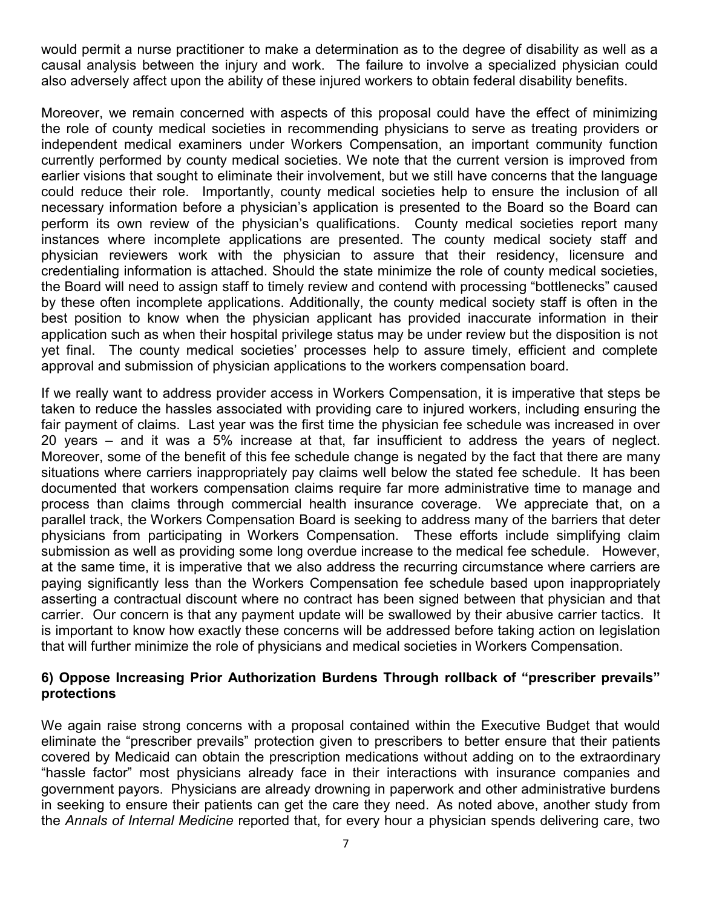would permit a nurse practitioner to make a determination as to the degree of disability as well as a causal analysis between the injury and work. The failure to involve a specialized physician could also adversely affect upon the ability of these injured workers to obtain federal disability benefits.

Moreover, we remain concerned with aspects of this proposal could have the effect of minimizing the role of county medical societies in recommending physicians to serve as treating providers or independent medical examiners under Workers Compensation, an important community function currently performed by county medical societies. We note that the current version is improved from earlier visions that sought to eliminate their involvement, but we still have concerns that the language could reduce their role. Importantly, county medical societies help to ensure the inclusion of all necessary information before a physician's application is presented to the Board so the Board can perform its own review of the physician's qualifications. County medical societies report many instances where incomplete applications are presented. The county medical society staff and physician reviewers work with the physician to assure that their residency, licensure and credentialing information is attached. Should the state minimize the role of county medical societies, the Board will need to assign staff to timely review and contend with processing "bottlenecks" caused by these often incomplete applications. Additionally, the county medical society staff is often in the best position to know when the physician applicant has provided inaccurate information in their application such as when their hospital privilege status may be under review but the disposition is not yet final. The county medical societies' processes help to assure timely, efficient and complete approval and submission of physician applications to the workers compensation board.

If we really want to address provider access in Workers Compensation, it is imperative that steps be taken to reduce the hassles associated with providing care to injured workers, including ensuring the fair payment of claims. Last year was the first time the physician fee schedule was increased in over 20 years – and it was a 5% increase at that, far insufficient to address the years of neglect. Moreover, some of the benefit of this fee schedule change is negated by the fact that there are many situations where carriers inappropriately pay claims well below the stated fee schedule. It has been documented that workers compensation claims require far more administrative time to manage and process than claims through commercial health insurance coverage. We appreciate that, on a parallel track, the Workers Compensation Board is seeking to address many of the barriers that deter physicians from participating in Workers Compensation. These efforts include simplifying claim submission as well as providing some long overdue increase to the medical fee schedule. However, at the same time, it is imperative that we also address the recurring circumstance where carriers are paying significantly less than the Workers Compensation fee schedule based upon inappropriately asserting a contractual discount where no contract has been signed between that physician and that carrier. Our concern is that any payment update will be swallowed by their abusive carrier tactics. It is important to know how exactly these concerns will be addressed before taking action on legislation that will further minimize the role of physicians and medical societies in Workers Compensation.

#### **6) Oppose Increasing Prior Authorization Burdens Through rollback of "prescriber prevails" protections**

We again raise strong concerns with a proposal contained within the Executive Budget that would eliminate the "prescriber prevails" protection given to prescribers to better ensure that their patients covered by Medicaid can obtain the prescription medications without adding on to the extraordinary "hassle factor" most physicians already face in their interactions with insurance companies and government payors. Physicians are already drowning in paperwork and other administrative burdens in seeking to ensure their patients can get the care they need. As noted above, another study from the *Annals of Internal Medicine* reported that, for every hour a physician spends delivering care, two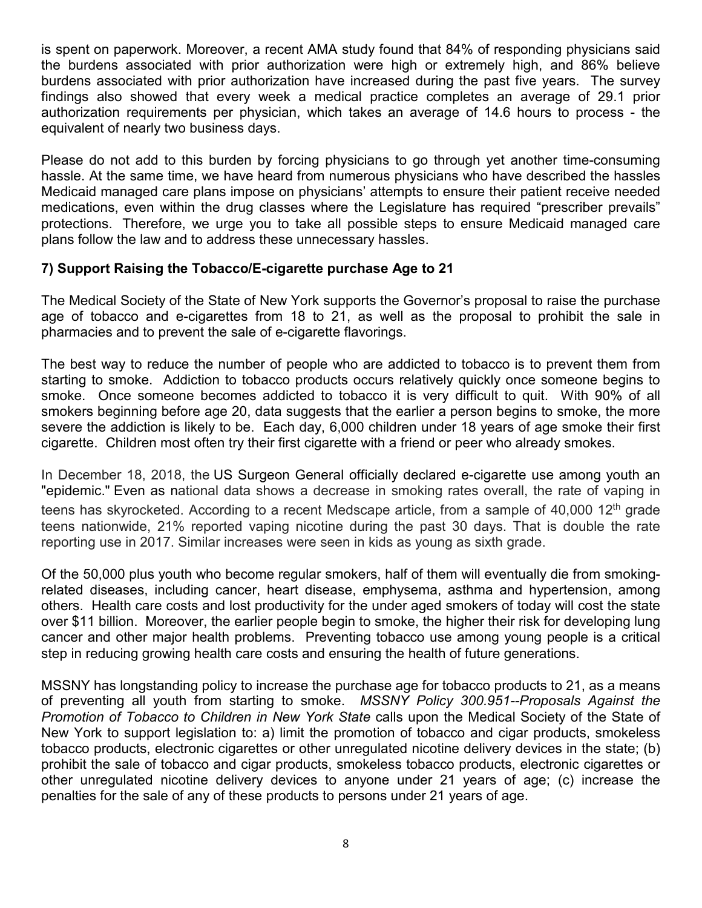is spent on paperwork. Moreover, a recent AMA study found that 84% of responding physicians said the burdens associated with prior authorization were high or extremely high, and 86% believe burdens associated with prior authorization have increased during the past five years. The survey findings also showed that every week a medical practice completes an average of 29.1 prior authorization requirements per physician, which takes an average of 14.6 hours to process - the equivalent of nearly two business days.

Please do not add to this burden by forcing physicians to go through yet another time-consuming hassle. At the same time, we have heard from numerous physicians who have described the hassles Medicaid managed care plans impose on physicians' attempts to ensure their patient receive needed medications, even within the drug classes where the Legislature has required "prescriber prevails" protections. Therefore, we urge you to take all possible steps to ensure Medicaid managed care plans follow the law and to address these unnecessary hassles.

### **7) Support Raising the Tobacco/E-cigarette purchase Age to 21**

The Medical Society of the State of New York supports the Governor's proposal to raise the purchase age of tobacco and e-cigarettes from 18 to 21, as well as the proposal to prohibit the sale in pharmacies and to prevent the sale of e-cigarette flavorings.

The best way to reduce the number of people who are addicted to tobacco is to prevent them from starting to smoke. Addiction to tobacco products occurs relatively quickly once someone begins to smoke. Once someone becomes addicted to tobacco it is very difficult to quit. With 90% of all smokers beginning before age 20, data suggests that the earlier a person begins to smoke, the more severe the addiction is likely to be. Each day, 6,000 children under 18 years of age smoke their first cigarette. Children most often try their first cigarette with a friend or peer who already smokes.

In December 18, 2018, the [US Surgeon General officially declared e-cigarette use among youth an](https://www.medscape.com/viewarticle/906733)  ["epidemic."](https://www.medscape.com/viewarticle/906733) Even as national data shows a decrease in smoking rates overall, the rate of vaping in teens has skyrocketed. According to a recent Medscape article, from a sample of 40,000 12<sup>th</sup> grade teens nationwide, 21% reported vaping nicotine during the past 30 days. That is double the rate reporting use in 2017. Similar increases were seen in kids as young as sixth grade.

Of the 50,000 plus youth who become regular smokers, half of them will eventually die from smokingrelated diseases, including cancer, heart disease, emphysema, asthma and hypertension, among others. Health care costs and lost productivity for the under aged smokers of today will cost the state over \$11 billion. Moreover, the earlier people begin to smoke, the higher their risk for developing lung cancer and other major health problems. Preventing tobacco use among young people is a critical step in reducing growing health care costs and ensuring the health of future generations.

MSSNY has longstanding policy to increase the purchase age for tobacco products to 21, as a means of preventing all youth from starting to smoke. *MSSNY Policy 300.951--Proposals Against the Promotion of Tobacco to Children in New York State* calls upon the Medical Society of the State of New York to support legislation to: a) limit the promotion of tobacco and cigar products, smokeless tobacco products, electronic cigarettes or other unregulated nicotine delivery devices in the state; (b) prohibit the sale of tobacco and cigar products, smokeless tobacco products, electronic cigarettes or other unregulated nicotine delivery devices to anyone under 21 years of age; (c) increase the penalties for the sale of any of these products to persons under 21 years of age.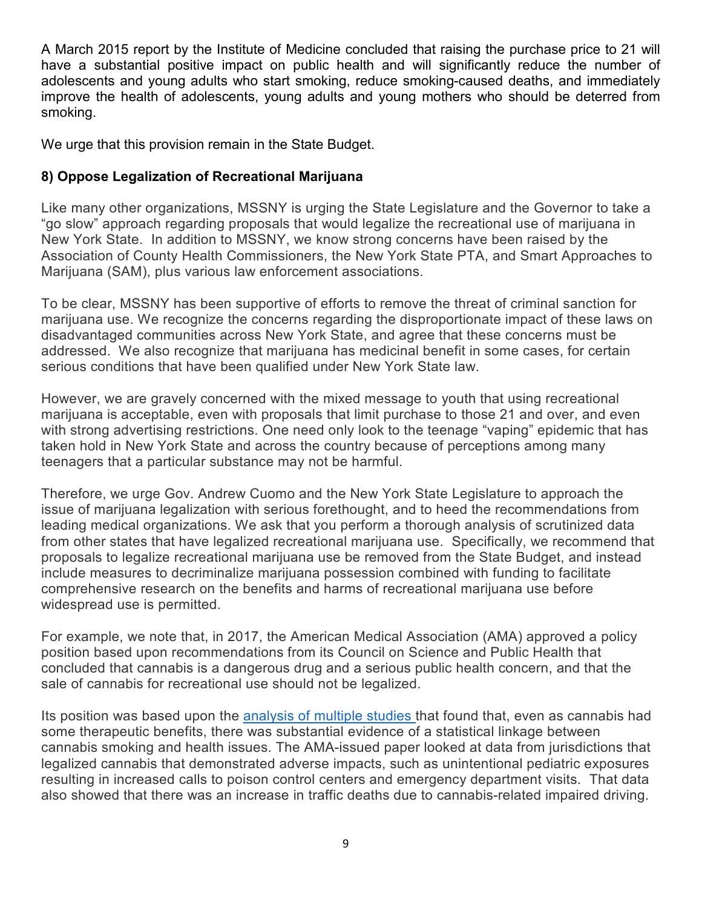A March 2015 report by the Institute of Medicine concluded that raising the purchase price to 21 will have a substantial positive impact on public health and will significantly reduce the number of adolescents and young adults who start smoking, reduce smoking-caused deaths, and immediately improve the health of adolescents, young adults and young mothers who should be deterred from smoking.

We urge that this provision remain in the State Budget.

# **8) Oppose Legalization of Recreational Marijuana**

Like many other organizations, MSSNY is urging the State Legislature and the Governor to take a "go slow" approach regarding proposals that would legalize the recreational use of marijuana in New York State. In addition to MSSNY, we know strong concerns have been raised by the Association of County Health Commissioners, the New York State PTA, and Smart Approaches to Marijuana (SAM), plus various law enforcement associations.

To be clear, MSSNY has been supportive of efforts to remove the threat of criminal sanction for marijuana use. We recognize the concerns regarding the disproportionate impact of these laws on disadvantaged communities across New York State, and agree that these concerns must be addressed. We also recognize that marijuana has medicinal benefit in some cases, for certain serious conditions that have been qualified under New York State law.

However, we are gravely concerned with the mixed message to youth that using recreational marijuana is acceptable, even with proposals that limit purchase to those 21 and over, and even with strong advertising restrictions. One need only look to the teenage "vaping" epidemic that has taken hold in New York State and across the country because of perceptions among many teenagers that a particular substance may not be harmful.

Therefore, we urge Gov. Andrew Cuomo and the New York State Legislature to approach the issue of marijuana legalization with serious forethought, and to heed the recommendations from leading medical organizations. We ask that you perform a thorough analysis of scrutinized data from other states that have legalized recreational marijuana use. Specifically, we recommend that proposals to legalize recreational marijuana use be removed from the State Budget, and instead include measures to decriminalize marijuana possession combined with funding to facilitate comprehensive research on the benefits and harms of recreational marijuana use before widespread use is permitted.

For example, we note that, in 2017, the American Medical Association (AMA) approved a policy position based upon recommendations from its Council on Science and Public Health that concluded that cannabis is a dangerous drug and a serious public health concern, and that the sale of cannabis for recreational use should not be legalized.

Its position was based upon the [analysis of multiple studies t](https://assets.ama-assn.org/sub/meeting/documents/i16-resolution-907.pdf)hat found that, even as cannabis had some therapeutic benefits, there was substantial evidence of a statistical linkage between cannabis smoking and health issues. The AMA-issued paper looked at data from jurisdictions that legalized cannabis that demonstrated adverse impacts, such as unintentional pediatric exposures resulting in increased calls to poison control centers and emergency department visits. That data also showed that there was an increase in traffic deaths due to cannabis-related impaired driving.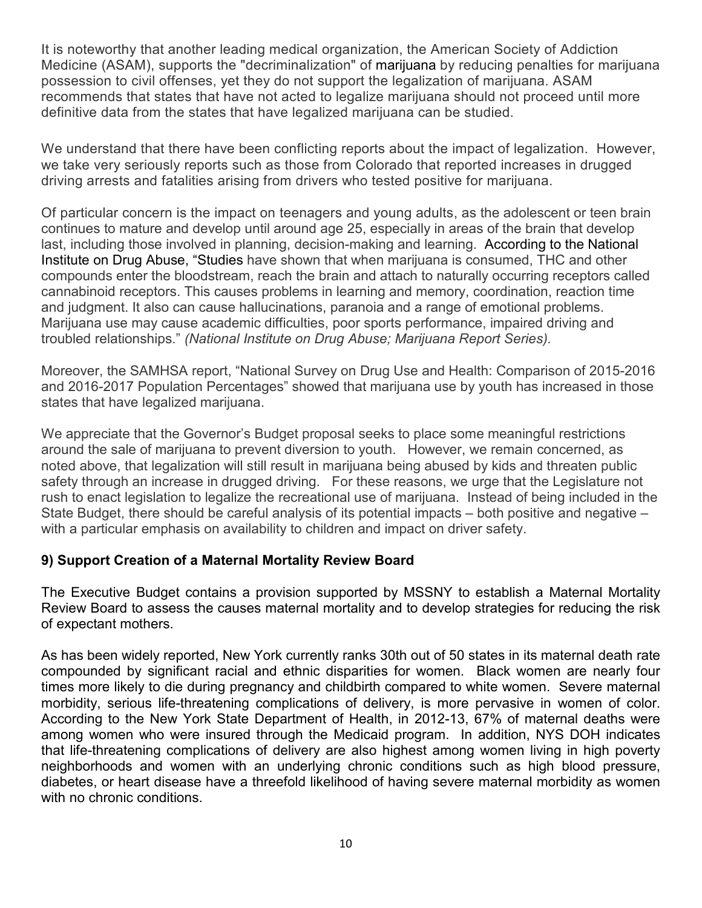It is noteworthy that another leading medical organization, the American Society of Addiction Medicine (ASAM), supports the "decriminalization" of marijuana by reducing penalties for marijuana possession to civil offenses, yet they do not support the legalization of marijuana. ASAM recommends that states that have not acted to legalize marijuana should not proceed until more definitive data from the states that have legalized marijuana can be studied.

We understand that there have been conflicting reports about the impact of legalization. However, we take very seriously reports such as those from Colorado that reported increases in drugged driving arrests and fatalities arising from drivers who tested positive for marijuana.

Of particular concern is the impact on teenagers and young adults, as the adolescent or teen brain continues to mature and develop until around age 25, especially in areas of the brain that develop last, including those involved in planning, decision-making and learning. According to the National Institute on Drug Abuse, "Studies have shown that when marijuana is consumed, THC and other compounds enter the bloodstream, reach the brain and attach to naturally occurring receptors called cannabinoid receptors. This causes problems in learning and memory, coordination, reaction time and judgment. It also can cause hallucinations, paranoia and a range of emotional problems. Marijuana use may cause academic difficulties, poor sports performance, impaired driving and troubled relationships." *(National Institute on Drug Abuse; Marijuana Report Series).*

Moreover, the SAMHSA report, "National Survey on Drug Use and Health: Comparison of 2015-2016 and 2016-2017 Population Percentages" showed that marijuana use by youth has increased in those states that have legalized marijuana.

We appreciate that the Governor's Budget proposal seeks to place some meaningful restrictions around the sale of marijuana to prevent diversion to youth. However, we remain concerned, as noted above, that legalization will still result in marijuana being abused by kids and threaten public safety through an increase in drugged driving. For these reasons, we urge that the Legislature not rush to enact legislation to legalize the recreational use of marijuana. Instead of being included in the State Budget, there should be careful analysis of its potential impacts – both positive and negative – with a particular emphasis on availability to children and impact on driver safety.

## **9) Support Creation of a Maternal Mortality Review Board**

The Executive Budget contains a provision supported by MSSNY to establish a Maternal Mortality Review Board to assess the causes maternal mortality and to develop strategies for reducing the risk of expectant mothers.

As has been widely reported, New York currently ranks 30th out of 50 states in its maternal death rate compounded by significant racial and ethnic disparities for women. Black women are nearly four times more likely to die during pregnancy and childbirth compared to white women. Severe maternal morbidity, serious life-threatening complications of delivery, is more pervasive in women of color. According to the New York State Department of Health, in 2012-13, 67% of maternal deaths were among women who were insured through the Medicaid program. In addition, NYS DOH indicates that life-threatening complications of delivery are also highest among women living in high poverty neighborhoods and women with an underlying chronic conditions such as high blood pressure, diabetes, or heart disease have a threefold likelihood of having severe maternal morbidity as women with no chronic conditions.